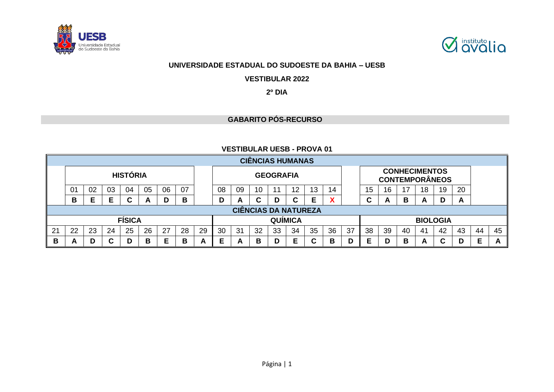



# **UNIVERSIDADE ESTADUAL DO SUDOESTE DA BAHIA – UESB**

**VESTIBULAR 2022**

# **2º DIA**

# **GABARITO PÓS-RECURSO**

### **VESTIBULAR UESB - PROVA 01**

|    |                                                                                        |    |    |                 |    |    |    |   |    |    |    |                  | <b>CIÊNCIAS HUMANAS</b> |    |    |    |                       |    |    |    |                 |    |   |   |
|----|----------------------------------------------------------------------------------------|----|----|-----------------|----|----|----|---|----|----|----|------------------|-------------------------|----|----|----|-----------------------|----|----|----|-----------------|----|---|---|
|    |                                                                                        |    |    | <b>HISTÓRIA</b> |    |    |    |   |    |    |    | <b>GEOGRAFIA</b> |                         |    |    |    | <b>CONTEMPORÂNEOS</b> |    |    |    |                 |    |   |   |
|    | 0 <sub>1</sub>                                                                         | 02 | 03 | 04              | 05 | 06 | 07 |   | 08 | 09 | 10 | 11               | 12                      | 13 | 14 |    | 15                    | 16 | 17 | 18 | 19              | 20 |   |   |
|    | В                                                                                      | Е  |    | D               | A  | C  | D  | C | Е  | Х  |    | ⌒<br>ັ           | A                       | В  | A  | D  | A                     |    |    |    |                 |    |   |   |
|    | <b>CIÊNCIAS DA NATUREZA</b>                                                            |    |    |                 |    |    |    |   |    |    |    |                  |                         |    |    |    |                       |    |    |    |                 |    |   |   |
|    | <b>FÍSICA</b><br><b>QUÍMICA</b>                                                        |    |    |                 |    |    |    |   |    |    |    |                  |                         |    |    |    |                       |    |    |    | <b>BIOLOGIA</b> |    |   |   |
| 21 | 35<br>36<br>25<br>26<br>27<br>28<br>29<br>22<br>23<br>24<br>30<br>32<br>34<br>31<br>33 |    |    |                 |    |    |    |   |    |    |    | 37               | 38                      | 39 | 40 | 41 | 42                    | 43 | 44 | 45 |                 |    |   |   |
| В  | A                                                                                      | D  | C  | D               | В  | Е  | в  | A | Е  | A  | В  | D                | Е                       |    | B  | D  | Е                     | D  | B  | A  | С               |    | Е | A |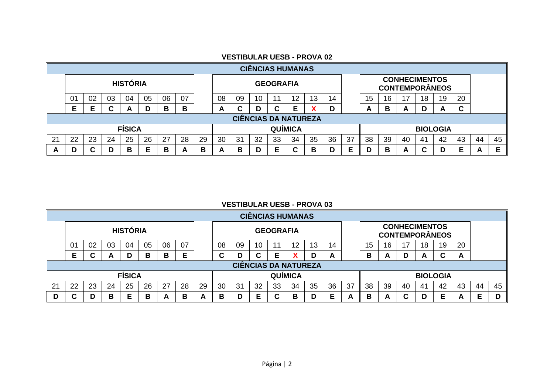|   | <b>CIÊNCIAS HUMANAS</b>                                                          |    |        |                 |    |    |    |  |    |    |    |                  |    |    |    |    |                                               |    |    |    |                 |        |  |  |
|---|----------------------------------------------------------------------------------|----|--------|-----------------|----|----|----|--|----|----|----|------------------|----|----|----|----|-----------------------------------------------|----|----|----|-----------------|--------|--|--|
|   |                                                                                  |    |        | <b>HISTÓRIA</b> |    |    |    |  |    |    |    | <b>GEOGRAFIA</b> |    |    |    |    | <b>CONHECIMENTOS</b><br><b>CONTEMPORÂNEOS</b> |    |    |    |                 |        |  |  |
|   | 01                                                                               | 02 | 03     | 04              | 05 | 06 | 07 |  | 08 | 09 | 10 |                  | 12 | 13 | 14 |    | 20<br>15<br>17<br>19<br>16<br>18              |    |    |    |                 |        |  |  |
|   | E                                                                                |    | ⌒<br>u | <u>r</u>        | D  | в  | В  |  | A  |    | D  |                  | Е  |    | D  |    | А                                             | в  | A  |    | A               | ~<br>u |  |  |
|   | <b>CIÊNCIAS DA NATUREZA</b>                                                      |    |        |                 |    |    |    |  |    |    |    |                  |    |    |    |    |                                               |    |    |    |                 |        |  |  |
|   | <b>FÍSICA</b><br><b>QUÍMICA</b>                                                  |    |        |                 |    |    |    |  |    |    |    |                  |    |    |    |    |                                               |    |    |    | <b>BIOLOGIA</b> |        |  |  |
| ິ | 26<br>34<br>35<br>25<br>30<br>32<br>22<br>23<br>24<br>27<br>28<br>29<br>33<br>31 |    |        |                 |    |    |    |  |    |    |    | 36               | 37 | 38 | 39 | 40 | 41                                            | 42 | 43 | 44 | 45              |        |  |  |
| A | Е<br>D<br>C<br>в<br>в<br>В<br>D<br>D<br>в<br>в<br>A<br>A                         |    |        |                 |    |    |    |  |    |    |    |                  |    | D  | в  | A  | ~                                             | D  | Е  | А  |                 |        |  |  |

#### **VESTIBULAR UESB - PROVA 02**

# **VESTIBULAR UESB - PROVA 03**

|    |                                 |    |    |                 |    |    |    |    |    |    |    |                  | <b>CIÊNCIAS HUMANAS</b> |    |    |    |                                               |    |    |    |                 |    |    |    |
|----|---------------------------------|----|----|-----------------|----|----|----|----|----|----|----|------------------|-------------------------|----|----|----|-----------------------------------------------|----|----|----|-----------------|----|----|----|
|    |                                 |    |    | <b>HISTÓRIA</b> |    |    |    |    |    |    |    | <b>GEOGRAFIA</b> |                         |    |    |    | <b>CONHECIMENTOS</b><br><b>CONTEMPORÂNEOS</b> |    |    |    |                 |    |    |    |
|    | 01                              | 02 | 03 | 04              | 05 | 06 | 07 |    | 08 | 09 | 10 |                  | 12                      | 13 | 14 |    | 15                                            | 16 | 17 | 18 | 19              | 20 |    |    |
|    | E                               | ື  | A  | D               | В  | в  | E  |    | C  |    | C  | Е                |                         |    | A  |    | В                                             | А  | D  | A  | ⌒<br>u          | A  |    |    |
|    | <b>CIÊNCIAS DA NATUREZA</b>     |    |    |                 |    |    |    |    |    |    |    |                  |                         |    |    |    |                                               |    |    |    |                 |    |    |    |
|    | <b>FÍSICA</b><br><b>QUÍMICA</b> |    |    |                 |    |    |    |    |    |    |    |                  |                         |    |    |    |                                               |    |    |    | <b>BIOLOGIA</b> |    |    |    |
| 21 | 22                              | 23 | 24 | 25              | 26 | 27 | 28 | 29 | 30 | 31 | 32 | 33               | 34                      | 35 | 36 | 37 | 38                                            | 39 | 40 | 41 | 42              | 43 | 44 | 45 |
|    |                                 | D  | В  | Е               | В  | A  | в  | А  | в  |    | Е  |                  | В                       |    | Е  |    | в                                             |    | ◠  |    | Е               | −  | Е  | D  |